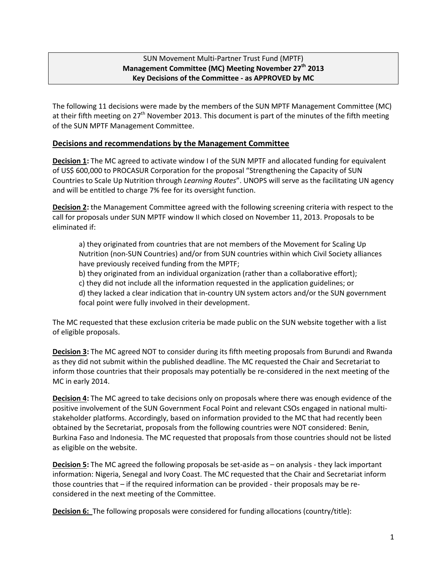## SUN Movement Multi-Partner Trust Fund (MPTF) **Management Committee (MC) Meeting November 27th 2013 Key Decisions of the Committee - as APPROVED by MC**

The following 11 decisions were made by the members of the SUN MPTF Management Committee (MC) at their fifth meeting on  $27<sup>th</sup>$  November 2013. This document is part of the minutes of the fifth meeting of the SUN MPTF Management Committee.

## **Decisions and recommendations by the Management Committee**

**Decision 1:** The MC agreed to activate window I of the SUN MPTF and allocated funding for equivalent of US\$ 600,000 to PROCASUR Corporation for the proposal "Strengthening the Capacity of SUN Countries to Scale Up Nutrition through *Learning Routes*". UNOPS will serve as the facilitating UN agency and will be entitled to charge 7% fee for its oversight function.

**Decision 2:** the Management Committee agreed with the following screening criteria with respect to the call for proposals under SUN MPTF window II which closed on November 11, 2013. Proposals to be eliminated if:

a) they originated from countries that are not members of the Movement for Scaling Up Nutrition (non-SUN Countries) and/or from SUN countries within which Civil Society alliances have previously received funding from the MPTF;

b) they originated from an individual organization (rather than a collaborative effort);

c) they did not include all the information requested in the application guidelines; or

d) they lacked a clear indication that in-country UN system actors and/or the SUN government focal point were fully involved in their development.

The MC requested that these exclusion criteria be made public on the SUN website together with a list of eligible proposals.

**Decision 3:** The MC agreed NOT to consider during its fifth meeting proposals from Burundi and Rwanda as they did not submit within the published deadline. The MC requested the Chair and Secretariat to inform those countries that their proposals may potentially be re-considered in the next meeting of the MC in early 2014.

**Decision 4:** The MC agreed to take decisions only on proposals where there was enough evidence of the positive involvement of the SUN Government Focal Point and relevant CSOs engaged in national multistakeholder platforms. Accordingly, based on information provided to the MC that had recently been obtained by the Secretariat, proposals from the following countries were NOT considered: Benin, Burkina Faso and Indonesia. The MC requested that proposals from those countries should not be listed as eligible on the website.

**Decision 5:** The MC agreed the following proposals be set-aside as – on analysis - they lack important information: Nigeria, Senegal and Ivory Coast. The MC requested that the Chair and Secretariat inform those countries that – if the required information can be provided - their proposals may be reconsidered in the next meeting of the Committee.

**Decision 6:** The following proposals were considered for funding allocations (country/title):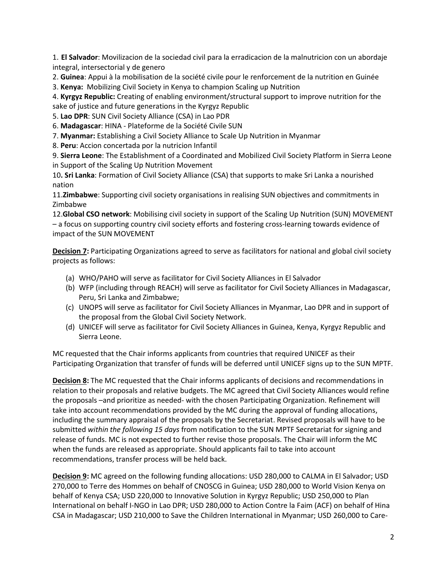1. **El Salvador**: Movilizacion de la sociedad civil para la erradicacion de la malnutricion con un abordaje integral, intersectorial y de genero

2. **Guinea**: Appui à la mobilisation de la société civile pour le renforcement de la nutrition en Guinée

3. **Kenya:** Mobilizing Civil Society in Kenya to champion Scaling up Nutrition

4. **Kyrgyz Republic:** Creating of enabling environment/structural support to improve nutrition for the sake of justice and future generations in the Kyrgyz Republic

5. **Lao DPR**: SUN Civil Society Alliance (CSA) in Lao PDR

6. **Madagascar**: HINA - Plateforme de la Société Civile SUN

7. **Myanmar:** Establishing a Civil Society Alliance to Scale Up Nutrition in Myanmar

8. **Peru**: Accion concertada por la nutricion Infantil

9. **Sierra Leone**: The Establishment of a Coordinated and Mobilized Civil Society Platform in Sierra Leone in Support of the Scaling Up Nutrition Movement

10**. Sri Lanka**: Formation of Civil Society Alliance (CSA) that supports to make Sri Lanka a nourished nation

11.**Zimbabwe**: Supporting civil society organisations in realising SUN objectives and commitments in Zimbabwe

12.**Global CSO network**: Mobilising civil society in support of the Scaling Up Nutrition (SUN) MOVEMENT – a focus on supporting country civil society efforts and fostering cross-learning towards evidence of impact of the SUN MOVEMENT

**Decision 7:** Participating Organizations agreed to serve as facilitators for national and global civil society projects as follows:

- (a) WHO/PAHO will serve as facilitator for Civil Society Alliances in El Salvador
- (b) WFP (including through REACH) will serve as facilitator for Civil Society Alliances in Madagascar, Peru, Sri Lanka and Zimbabwe;
- (c) UNOPS will serve as facilitator for Civil Society Alliances in Myanmar, Lao DPR and in support of the proposal from the Global Civil Society Network.
- (d) UNICEF will serve as facilitator for Civil Society Alliances in Guinea, Kenya, Kyrgyz Republic and Sierra Leone.

MC requested that the Chair informs applicants from countries that required UNICEF as their Participating Organization that transfer of funds will be deferred until UNICEF signs up to the SUN MPTF.

**Decision 8:** The MC requested that the Chair informs applicants of decisions and recommendations in relation to their proposals and relative budgets. The MC agreed that Civil Society Alliances would refine the proposals –and prioritize as needed- with the chosen Participating Organization. Refinement will take into account recommendations provided by the MC during the approval of funding allocations, including the summary appraisal of the proposals by the Secretariat. Revised proposals will have to be submitted *within the following 15 days* from notification to the SUN MPTF Secretariat for signing and release of funds. MC is not expected to further revise those proposals. The Chair will inform the MC when the funds are released as appropriate. Should applicants fail to take into account recommendations, transfer process will be held back.

**Decision 9:** MC agreed on the following funding allocations: USD 280,000 to CALMA in El Salvador; USD 270,000 to Terre des Hommes on behalf of CNOSCG in Guinea; USD 280,000 to World Vision Kenya on behalf of Kenya CSA; USD 220,000 to Innovative Solution in Kyrgyz Republic; USD 250,000 to Plan International on behalf I-NGO in Lao DPR; USD 280,000 to Action Contre la Faim (ACF) on behalf of Hina CSA in Madagascar; USD 210,000 to Save the Children International in Myanmar; USD 260,000 to Care